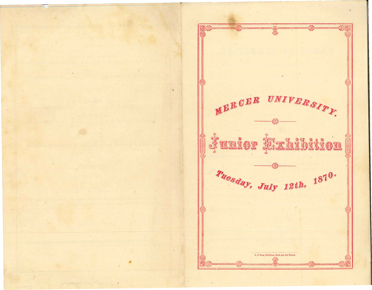